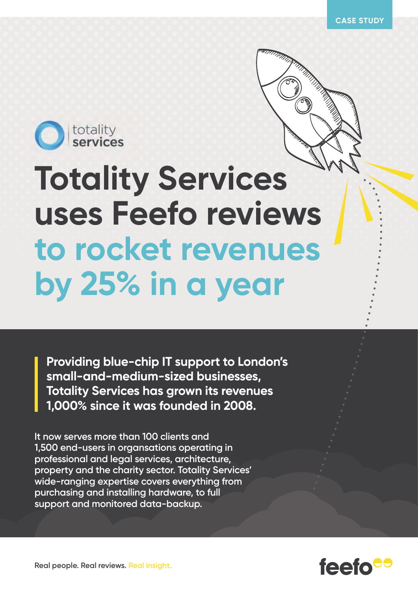

## **Totality Services uses Feefo reviews to rocket revenues by 25% in a year**

**Providing blue-chip IT support to London's small-and-medium-sized businesses, Totality Services has grown its revenues 1,000% since it was founded in 2008.**

**It now serves more than 100 clients and 1,500 end-users in organsations operating in professional and legal services, architecture, property and the charity sector. Totality Services' wide-ranging expertise covers everything from purchasing and installing hardware, to full support and monitored data-backup.**



**Real people. Real reviews. Real insight.**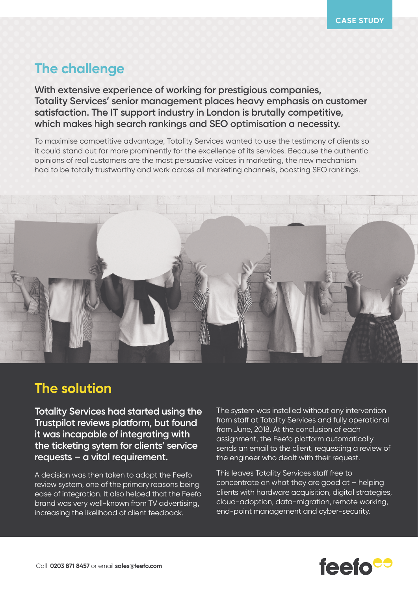## **The challenge**

**With extensive experience of working for prestigious companies, Totality Services' senior management places heavy emphasis on customer satisfaction. The IT support industry in London is brutally competitive, which makes high search rankings and SEO optimisation a necessity.**

To maximise competitive advantage, Totality Services wanted to use the testimony of clients so it could stand out far more prominently for the excellence of its services. Because the authentic opinions of real customers are the most persuasive voices in marketing, the new mechanism had to be totally trustworthy and work across all marketing channels, boosting SEO rankings.



## **The solution**

**Totality Services had started using the Trustpilot reviews platform, but found it was incapable of integrating with the ticketing sytem for clients' service requests – a vital requirement.** 

A decision was then taken to adopt the Feefo review system, one of the primary reasons being ease of integration. It also helped that the Feefo brand was very well-known from TV advertising, increasing the likelihood of client feedback.

The system was installed without any intervention from staff at Totality Services and fully operational from June, 2018. At the conclusion of each assignment, the Feefo platform automatically sends an email to the client, requesting a review of the engineer who dealt with their request.

This leaves Totality Services staff free to concentrate on what they are good at – helping clients with hardware acquisition, digital strategies, cloud-adoption, data-migration, remote working, end-point management and cyber-security.